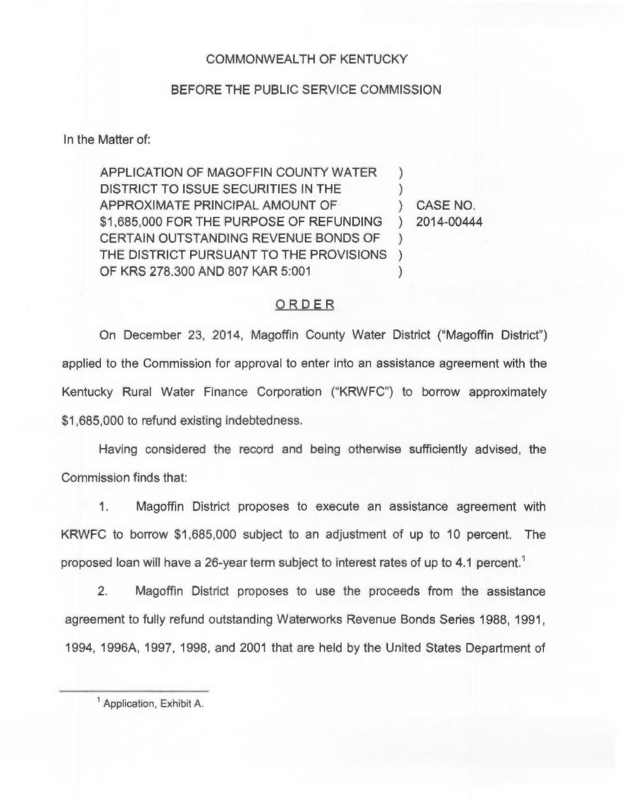## COMMONWEALTH OF KENTUCKY

## BEFORE THE PUBLIC SERVICE COMMISSION

In the Matter of:

APPLICATION OF MAGOFFIN COUNTY WATER DISTRICT TO ISSUE SECURITIES IN THE APPROXIMATE PRINCIPAL AMOUNT OF \$1,685,000 FOR THE PURPOSE OF REFUNDING CERTAIN OUTSTANDING REVENUE BONDS OF THE DISTRICT PURSUANT TO THE PROVISIONS OF KRS 278.300 AND 807 KAR 5:001  $\left( \right)$  $\left( \right)$ ) CASE NO. ) 2014-00444 )  $)$ )

## ORDER

On December 23, 2014, Magoffin County Water District ("Magoffin District") applied to the Commission for approval to enter into an assistance agreement with the Kentucky Rural Water Finance Corporation ("KRWFC") to borrow approximately \$1,685,000 to refund existing indebtedness.

Having considered the record and being otherwise sufficiently advised, the Commission finds that:

1. Magoffin District proposes to execute an assistance agreement with KRWFC to borrow \$1,685,000 subject to an adjustment of up to 10 percent. The proposed loan will have a 26-year term subject to interest rates of up to 4.1 percent.'.

 $2$ Magoffin District proposes to use the proceeds from the assistance agreement to fully refund outstanding Waterworks Revenue Bonds Series 1988, 1991, 1994, 1996A, 1997, 1998, and 2001 that are held by the United States Department of

<sup>&</sup>lt;sup>1</sup> Application, Exhibit A.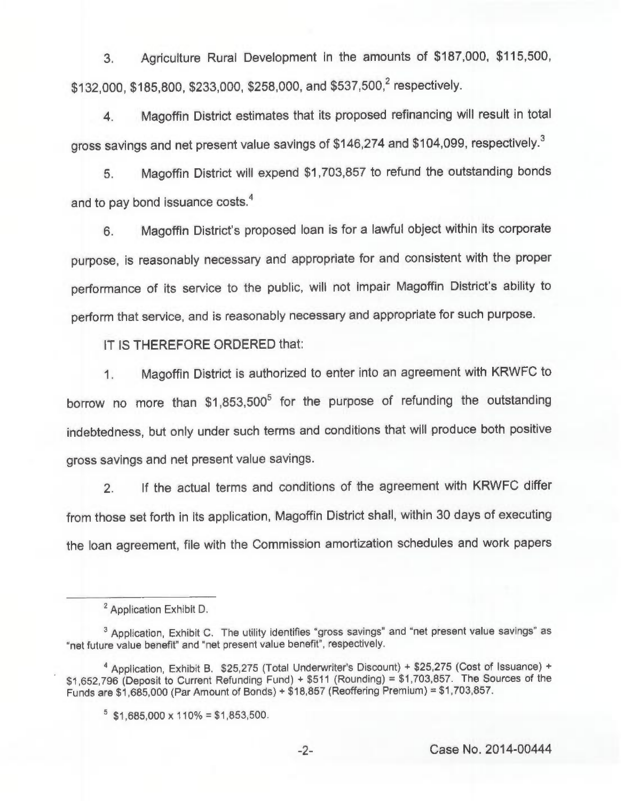3. Agriculture Rural Development in the amounts of \$187,000, \$115,500, \$132,000, \$185,800, \$233,000, \$258,000, and \$537,500,<sup>2</sup> respectively.

4. Magoffin District estimates that its proposed refinancing will result in total gross savings and net present value savings of \$146,274 and \$104,099, respectively.<sup>3</sup>

Magoffin District will expend \$1,703,857 to refund the outstanding bonds 5. and to pay bond issuance costs.<sup>4</sup>

Magoffin District's proposed loan is for a lawful object within its corporate 6. purpose, is reasonably necessary and appropriate for and consistent with the proper performance of its service to the public, will not impair Magoffin District's ability to perform that service, and is reasonably necessary and appropriate for such purpose.

IT IS THEREFORE ORDERED that:

1. Magoffin District is authorized to enter into an agreement with KRWFC to borrow no more than \$1,853,500<sup>5</sup> for the purpose of refunding the outstanding indebtedness, but only under such terms and conditions that will produce both positive gross savings and net present value savings.

2. If the actual terms and conditions of the agreement with KRWFC differ from those set forth in its application, Magoffin District shall, within 30 days of executing the loan agreement, file with the Commission amortization schedules and work papers

<sup>&</sup>lt;sup>2</sup> Application Exhibit D.

<sup>&</sup>lt;sup>3</sup> Application, Exhibit C. The utility identifies "gross savings" and "net present value savings" as "net future value benefit" and "net present value benefit", respectively.

<sup>&</sup>lt;sup>4</sup> Application, Exhibit B. \$25,275 (Total Underwriter's Discount) + \$25,275 (Cost of Issuance) + \$1,652,796 (Deposit to Current Refunding Fund) <sup>+</sup> \$511 (Rounding) <sup>=</sup> \$1,703,857. The Sources of the Funds are \$1,685,000 (Par Amount of Bonds) <sup>+</sup> \$18,857 (Reoffering Premium) <sup>=</sup> \$1,703,857.

 $5$  \$1,685,000 x 110% = \$1,853,500.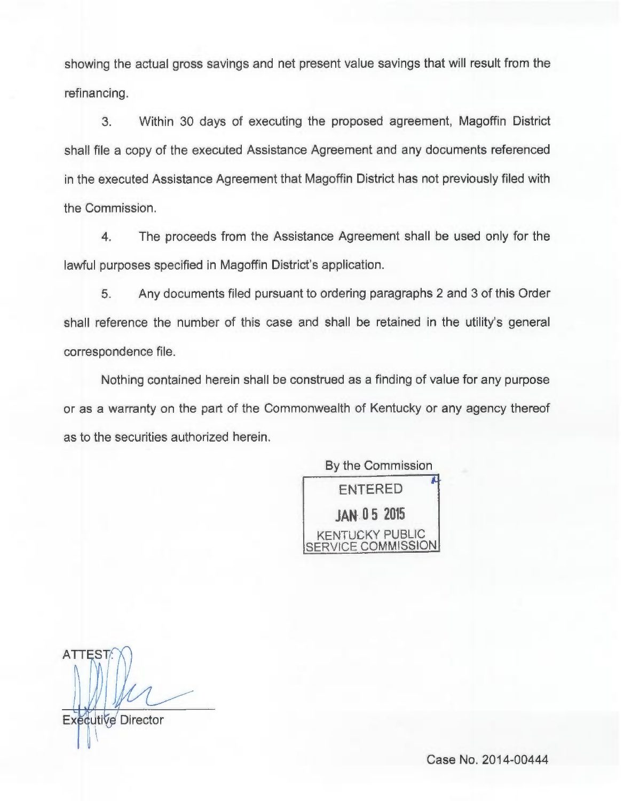showing the actual gross savings and net present value savings that will result from the refinancing.

3. Within 30 days of executing the proposed agreement, Magoffin District shall file a copy of the executed Assistance Agreement and any documents referenced in the executed Assistance Agreement that Magoffin District has not previously filed with the Commission.

4. The proceeds from the Assistance Agreement shall be used only for the lawful purposes specified in Magoffin District's application.

5. Any documents filed pursuant to ordering paragraphs 2 and 3 of this Order shall reference the number of this case and shall be retained in the utility's general correspondence file.

Nothing contained herein shall be construed as a finding of value for any purpose or as a warranty on the part of the Commonwealth of Kentucky or any agency thereof as to the securities authorized herein.

> By the Commission ENTERED jAN 05 <sup>2015</sup> KENTUCKY PUBLIC *I***ICE COMMISSION**

**ATTEST** Executive Director

Case No. 2014-00444